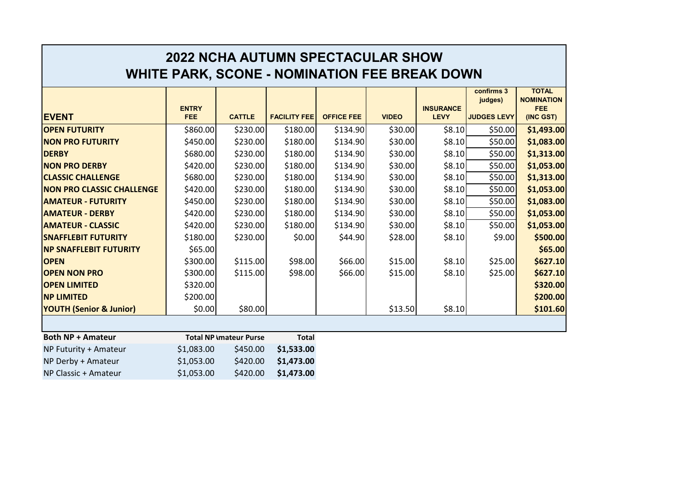| <b>2022 NCHA AUTUMN SPECTACULAR SHOW</b><br><b>WHITE PARK, SCONE - NOMINATION FEE BREAK DOWN</b> |                               |               |                     |                   |              |                                 |                                             |                                                        |
|--------------------------------------------------------------------------------------------------|-------------------------------|---------------|---------------------|-------------------|--------------|---------------------------------|---------------------------------------------|--------------------------------------------------------|
| <b>EVENT</b>                                                                                     | <b>ENTRY</b><br><b>FEE</b>    | <b>CATTLE</b> | <b>FACILITY FEE</b> | <b>OFFICE FEE</b> | <b>VIDEO</b> | <b>INSURANCE</b><br><b>LEVY</b> | confirms 3<br>judges)<br><b>JUDGES LEVY</b> | <b>TOTAL</b><br><b>NOMINATION</b><br>FEE.<br>(INC GST) |
| <b>OPEN FUTURITY</b>                                                                             | \$860.00                      | \$230.00      | \$180.00            | \$134.90          | \$30.00      | \$8.10                          | \$50.00                                     | \$1,493.00                                             |
| <b>NON PRO FUTURITY</b>                                                                          | \$450.00                      | \$230.00      | \$180.00            | \$134.90          | \$30.00      | \$8.10                          | \$50.00                                     | \$1,083.00                                             |
| <b>DERBY</b>                                                                                     | \$680.00                      | \$230.00      | \$180.00            | \$134.90          | \$30.00      | \$8.10                          | \$50.00                                     | \$1,313.00                                             |
| <b>NON PRO DERBY</b>                                                                             | \$420.00                      | \$230.00      | \$180.00            | \$134.90          | \$30.00      | \$8.10                          | \$50.00                                     | \$1,053.00                                             |
| <b>CLASSIC CHALLENGE</b>                                                                         | \$680.00                      | \$230.00      | \$180.00            | \$134.90          | \$30.00      | \$8.10                          | \$50.00                                     | \$1,313.00                                             |
| <b>NON PRO CLASSIC CHALLENGE</b>                                                                 | \$420.00                      | \$230.00      | \$180.00            | \$134.90          | \$30.00      | \$8.10                          | \$50.00                                     | \$1,053.00                                             |
| <b>AMATEUR - FUTURITY</b>                                                                        | \$450.00                      | \$230.00      | \$180.00            | \$134.90          | \$30.00      | \$8.10                          | \$50.00                                     | \$1,083.00                                             |
| <b>AMATEUR - DERBY</b>                                                                           | \$420.00                      | \$230.00      | \$180.00            | \$134.90          | \$30.00      | \$8.10                          | \$50.00                                     | \$1,053.00                                             |
| <b>AMATEUR - CLASSIC</b>                                                                         | \$420.00                      | \$230.00      | \$180.00            | \$134.90          | \$30.00      | \$8.10                          | \$50.00                                     | \$1,053.00                                             |
| <b>SNAFFLEBIT FUTURITY</b>                                                                       | \$180.00                      | \$230.00      | \$0.00              | \$44.90           | \$28.00      | \$8.10                          | \$9.00                                      | \$500.00                                               |
| <b>NP SNAFFLEBIT FUTURITY</b>                                                                    | \$65.00                       |               |                     |                   |              |                                 |                                             | \$65.00                                                |
| <b>OPEN</b>                                                                                      | \$300.00                      | \$115.00      | \$98.00             | \$66.00           | \$15.00      | \$8.10                          | \$25.00                                     | \$627.10                                               |
| <b>OPEN NON PRO</b>                                                                              | \$300.00                      | \$115.00      | \$98.00             | \$66.00           | \$15.00      | \$8.10                          | \$25.00                                     | \$627.10                                               |
| <b>OPEN LIMITED</b>                                                                              | \$320.00                      |               |                     |                   |              |                                 |                                             | \$320.00                                               |
| <b>NP LIMITED</b>                                                                                | \$200.00                      |               |                     |                   |              |                                 |                                             | \$200.00                                               |
| <b>YOUTH (Senior &amp; Junior)</b>                                                               | \$0.00                        | \$80.00       |                     |                   | \$13.50      | \$8.10                          |                                             | \$101.60                                               |
|                                                                                                  |                               |               |                     |                   |              |                                 |                                             |                                                        |
| <b>Both NP + Amateur</b>                                                                         | <b>Total NP Imateur Purse</b> |               | <b>Total</b>        |                   |              |                                 |                                             |                                                        |
| NP Futurity + Amateur                                                                            | \$1,083.00                    | \$450.00      | \$1,533.00          |                   |              |                                 |                                             |                                                        |
| NP Derby + Amateur                                                                               | \$1,053.00                    | \$420.00      | \$1,473.00          |                   |              |                                 |                                             |                                                        |
| NP Classic + Amateur                                                                             | \$1,053.00                    | \$420.00      | \$1,473.00          |                   |              |                                 |                                             |                                                        |